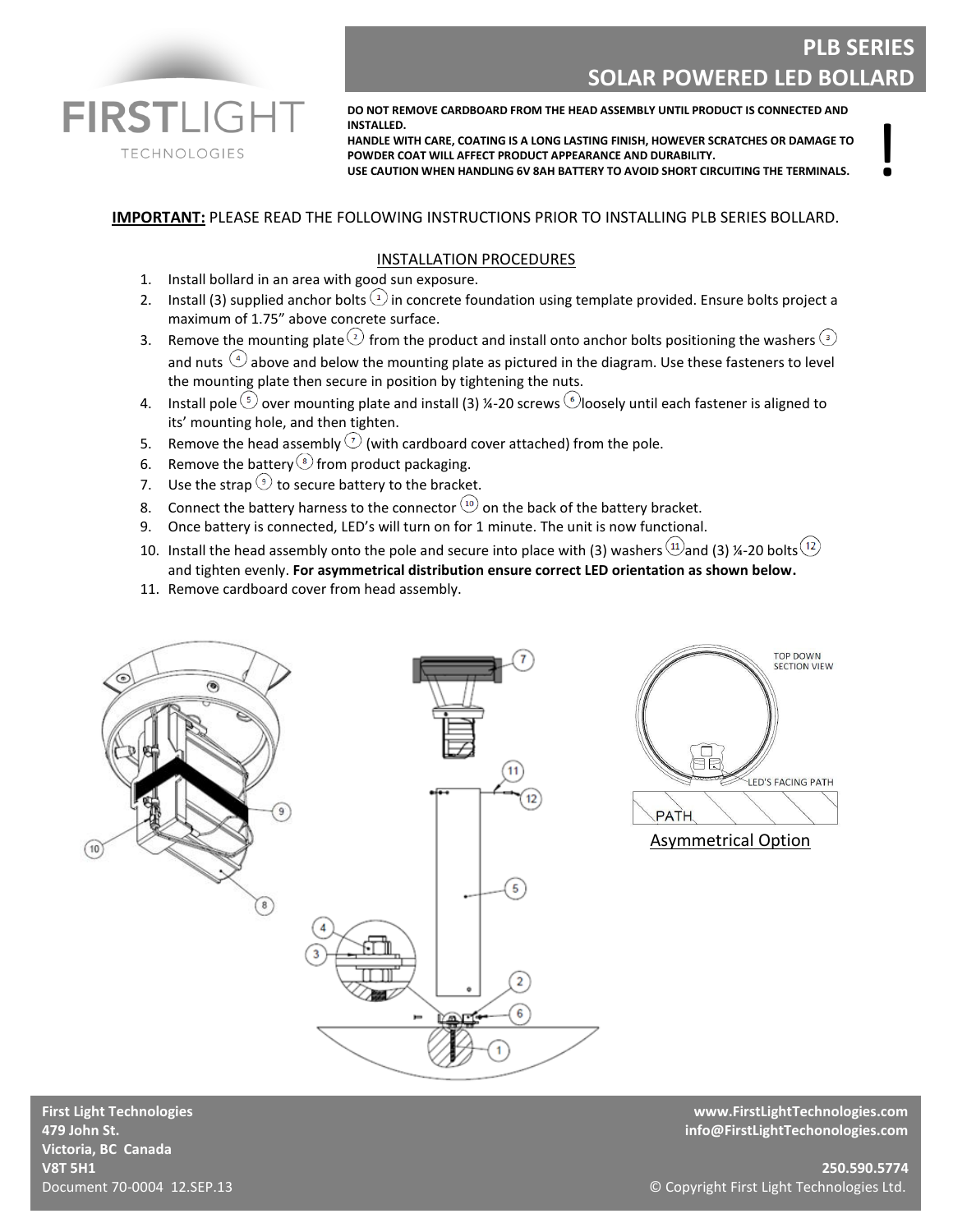# **PLB SERIES SOLAR POWERED LED BOLLARD**

!



**DO NOT REMOVE CARDBOARD FROM THE HEAD ASSEMBLY UNTIL PRODUCT IS CONNECTED AND INSTALLED.**

**HANDLE WITH CARE, COATING IS A LONG LASTING FINISH, HOWEVER SCRATCHES OR DAMAGE TO POWDER COAT WILL AFFECT PRODUCT APPEARANCE AND DURABILITY.**

**USE CAUTION WHEN HANDLING 6V 8AH BATTERY TO AVOID SHORT CIRCUITING THE TERMINALS.**

## **IMPORTANT:** PLEASE READ THE FOLLOWING INSTRUCTIONS PRIOR TO INSTALLING PLB SERIES BOLLARD.

### INSTALLATION PROCEDURES

- 1. Install bollard in an area with good sun exposure.
- 2. Install (3) supplied anchor bolts  $\Omega$  in concrete foundation using template provided. Ensure bolts project a maximum of 1.75" above concrete surface.
- 3. Remove the mounting plate  $\Omega$  from the product and install onto anchor bolts positioning the washers  $\Omega$ and nuts  $\Theta$  above and below the mounting plate as pictured in the diagram. Use these fasteners to level the mounting plate then secure in position by tightening the nuts.
- 4. Install pole  $\Im$  over mounting plate and install (3) ¼-20 screws  $\Im$  loosely until each fastener is aligned to its' mounting hole, and then tighten.
- 5. Remove the head assembly  $\odot$  (with cardboard cover attached) from the pole.
- 6. Remove the battery  $\circled{1}$  from product packaging.
- 7. Use the strap  $\odot$  to secure battery to the bracket.
- 8. Connect the battery harness to the connector  $^{(10)}$  on the back of the battery bracket.
- 9. Once battery is connected, LED's will turn on for 1 minute. The unit is now functional.
- 10. Install the head assembly onto the pole and secure into place with (3) washers  $\overset{(1)}{1}$  and (3) ¼-20 bolts  $\overset{(1)}{2}$ and tighten evenly. **For asymmetrical distribution ensure correct LED orientation as shown below.**
- 11. Remove cardboard cover from head assembly.



**Victoria, BC Canada**

**First Light Technologies www.FirstLightTechnologies.com 479 John St. info@FirstLightTechonologies.com** 

### **V8T 5H1 250.590.5774** Document 70-0004 12.SEP.13 © Copyright First Light Technologies Ltd.